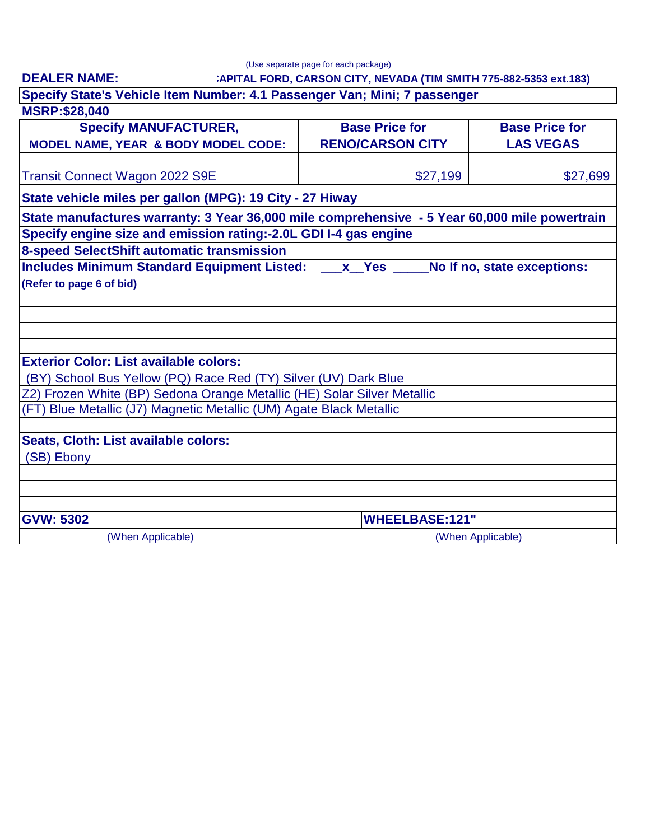**DEALER NAME:**

(Use separate page for each package)

#### **CAPITAL FORD, CARSON CITY, NEVADA (TIM SMITH 775-882-5353 ext.183)**

**Specify State's Vehicle Item Number: 4.1 Passenger Van; Mini; 7 passenger**

# **MSRP:\$28,040 8-speed SelectShift automatic transmission** (When Applicable) **GVW: 5302 WHEELBASE:121"** (SB) Ebony (When Applicable) \$27,199 **Specify MANUFACTURER, MODEL NAME, YEAR & BODY MODEL CODE: Base Price for RENO/CARSON CITY Base Price for LAS VEGAS State vehicle miles per gallon (MPG): 19 City - 27 Hiway** (BY) School Bus Yellow (PQ) Race Red (TY) Silver (UV) Dark Blue Z2) Frozen White (BP) Sedona Orange Metallic (HE) Solar Silver Metallic \$27,699 (FT) Blue Metallic (J7) Magnetic Metallic (UM) Agate Black Metallic **Specify engine size and emission rating:-2.0L GDI I-4 gas engine (Refer to page 6 of bid)** Transit Connect Wagon 2022 S9E **State manufactures warranty: 3 Year 36,000 mile comprehensive - 5 Year 60,000 mile powertrain Seats, Cloth: List available colors: Includes Minimum Standard Equipment Listed: \_\_\_x\_\_Yes \_\_\_\_\_No If no, state exceptions: Exterior Color: List available colors:**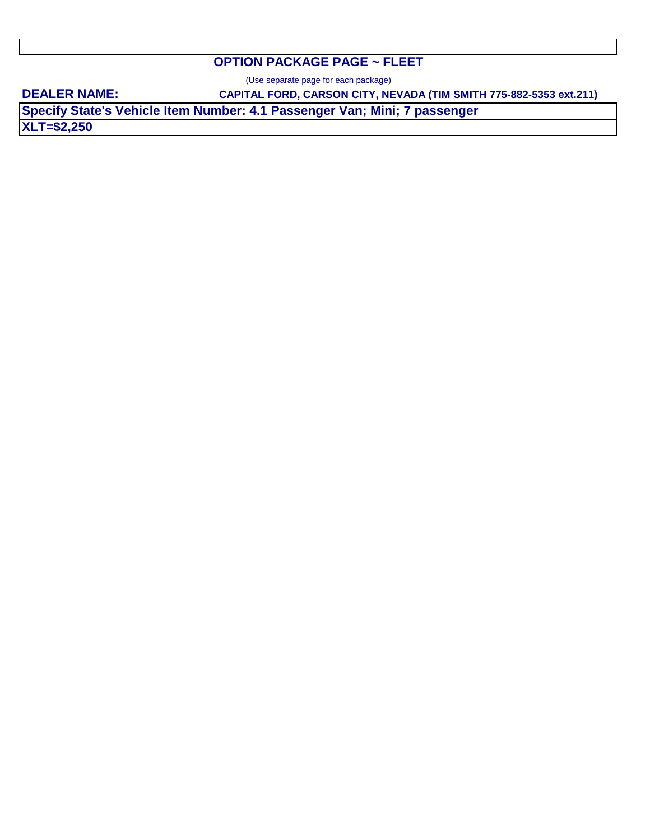### **OPTION PACKAGE PAGE ~ FLEET**

(Use separate page for each package)

**DEALER NAME:** 

**CAPITAL FORD, CARSON CITY, NEVADA (TIM SMITH 775-882-5353 ext.211)**

**XLT=\$2,250 Specify State's Vehicle Item Number: 4.1 Passenger Van; Mini; 7 passenger**